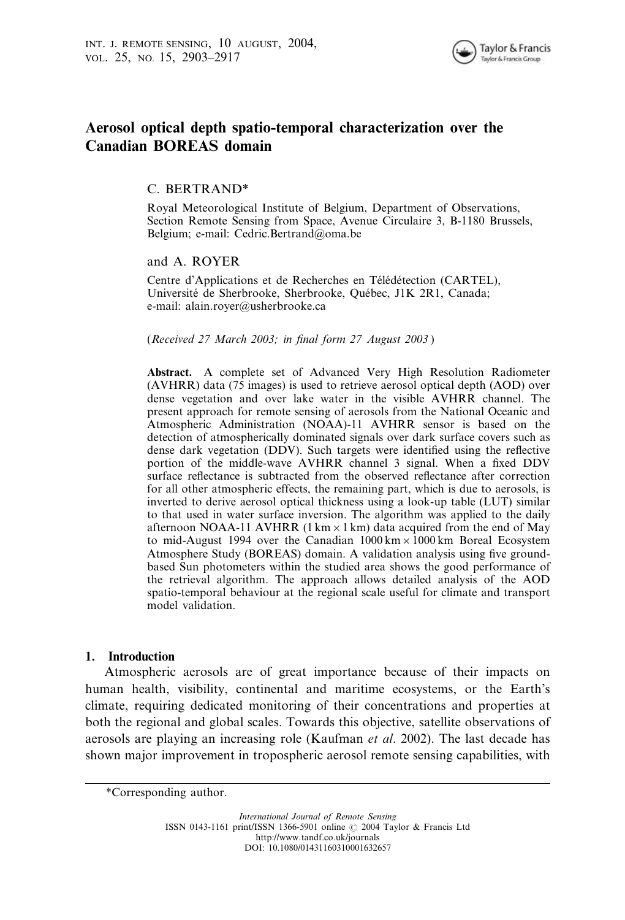

# Aerosol optical depth spatio-temporal characterization over the Canadian BOREAS domain

# C. BERTRAND\*

Royal Meteorological Institute of Belgium, Department of Observations, Section Remote Sensing from Space, Avenue Circulaire 3, B-1180 Brussels, Belgium; e-mail: Cedric.Bertrand@oma.be

## and A. ROYER

Centre d'Applications et de Recherches en Télédétection (CARTEL), Université de Sherbrooke, Sherbrooke, Québec, J1K 2R1, Canada; e-mail: alain.royer@usherbrooke.ca

#### (Received 27 March 2003; in final form 27 August 2003 )

Abstract. A complete set of Advanced Very High Resolution Radiometer (AVHRR) data (75 images) is used to retrieve aerosol optical depth (AOD) over dense vegetation and over lake water in the visible AVHRR channel. The present approach for remote sensing of aerosols from the National Oceanic and Atmospheric Administration (NOAA)-11 AVHRR sensor is based on the detection of atmospherically dominated signals over dark surface covers such as dense dark vegetation (DDV). Such targets were identified using the reflective portion of the middle-wave AVHRR channel 3 signal. When a fixed DDV surface reflectance is subtracted from the observed reflectance after correction for all other atmospheric effects, the remaining part, which is due to aerosols, is inverted to derive aerosol optical thickness using a look-up table (LUT) similar to that used in water surface inversion. The algorithm was applied to the daily afternoon NOAA-11 AVHRR (1 km  $\times$  1 km) data acquired from the end of May to mid-August 1994 over the Canadian  $1000 \text{ km} \times 1000 \text{ km}$  Boreal Ecosystem Atmosphere Study (BOREAS) domain. A validation analysis using five groundbased Sun photometers within the studied area shows the good performance of the retrieval algorithm. The approach allows detailed analysis of the AOD spatio-temporal behaviour at the regional scale useful for climate and transport model validation.

### 1. Introduction

Atmospheric aerosols are of great importance because of their impacts on human health, visibility, continental and maritime ecosystems, or the Earth's climate, requiring dedicated monitoring of their concentrations and properties at both the regional and global scales. Towards this objective, satellite observations of aerosols are playing an increasing role (Kaufman et al. 2002). The last decade has shown major improvement in tropospheric aerosol remote sensing capabilities, with

<sup>\*</sup>Corresponding author.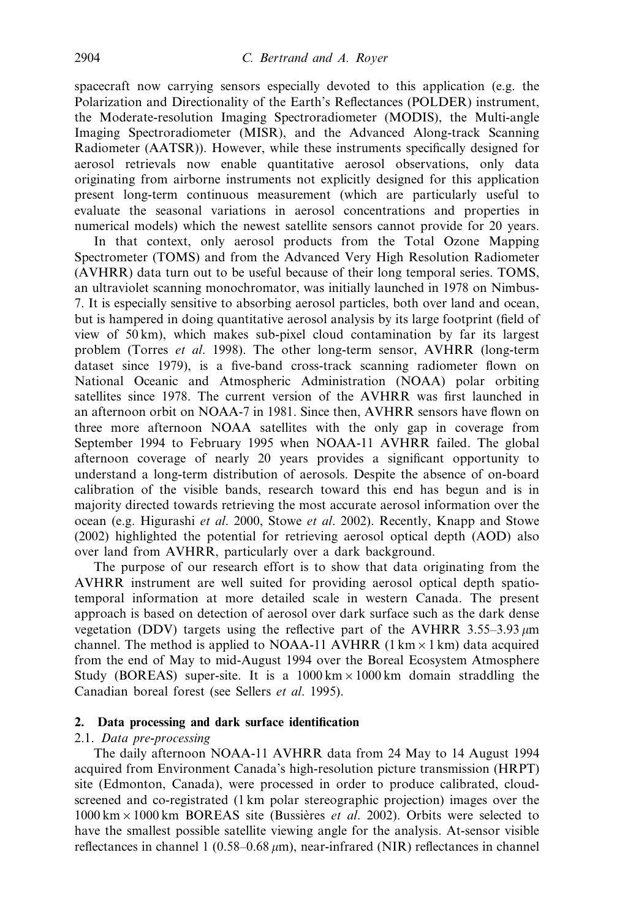spacecraft now carrying sensors especially devoted to this application (e.g. the Polarization and Directionality of the Earth's Reflectances (POLDER) instrument, the Moderate-resolution Imaging Spectroradiometer (MODIS), the Multi-angle Imaging Spectroradiometer (MISR), and the Advanced Along-track Scanning Radiometer (AATSR)). However, while these instruments specifically designed for aerosol retrievals now enable quantitative aerosol observations, only data originating from airborne instruments not explicitly designed for this application present long-term continuous measurement (which are particularly useful to evaluate the seasonal variations in aerosol concentrations and properties in numerical models) which the newest satellite sensors cannot provide for 20 years.

In that context, only aerosol products from the Total Ozone Mapping Spectrometer (TOMS) and from the Advanced Very High Resolution Radiometer (AVHRR) data turn out to be useful because of their long temporal series. TOMS, an ultraviolet scanning monochromator, was initially launched in 1978 on Nimbus-7. It is especially sensitive to absorbing aerosol particles, both over land and ocean, but is hampered in doing quantitative aerosol analysis by its large footprint (field of view of 50 km), which makes sub-pixel cloud contamination by far its largest problem (Torres et al. 1998). The other long-term sensor, AVHRR (long-term dataset since 1979), is a five-band cross-track scanning radiometer flown on National Oceanic and Atmospheric Administration (NOAA) polar orbiting satellites since 1978. The current version of the AVHRR was first launched in an afternoon orbit on NOAA-7 in 1981. Since then, AVHRR sensors have flown on three more afternoon NOAA satellites with the only gap in coverage from September 1994 to February 1995 when NOAA-11 AVHRR failed. The global afternoon coverage of nearly 20 years provides a significant opportunity to understand a long-term distribution of aerosols. Despite the absence of on-board calibration of the visible bands, research toward this end has begun and is in majority directed towards retrieving the most accurate aerosol information over the ocean (e.g. Higurashi et al. 2000, Stowe et al. 2002). Recently, Knapp and Stowe (2002) highlighted the potential for retrieving aerosol optical depth (AOD) also over land from AVHRR, particularly over a dark background.

The purpose of our research effort is to show that data originating from the AVHRR instrument are well suited for providing aerosol optical depth spatiotemporal information at more detailed scale in western Canada. The present approach is based on detection of aerosol over dark surface such as the dark dense vegetation (DDV) targets using the reflective part of the AVHRR  $3.55-3.93 \mu m$ channel. The method is applied to NOAA-11 AVHRR  $(1 \text{ km} \times 1 \text{ km})$  data acquired from the end of May to mid-August 1994 over the Boreal Ecosystem Atmosphere Study (BOREAS) super-site. It is a  $1000 \text{ km} \times 1000 \text{ km}$  domain straddling the Canadian boreal forest (see Sellers et al. 1995).

#### 2. Data processing and dark surface identification

#### 2.1. Data pre-processing

The daily afternoon NOAA-11 AVHRR data from 24 May to 14 August 1994 acquired from Environment Canada's high-resolution picture transmission (HRPT) site (Edmonton, Canada), were processed in order to produce calibrated, cloudscreened and co-registrated (1 km polar stereographic projection) images over the  $1000 \text{ km} \times 1000 \text{ km}$  BOREAS site (Bussières *et al.* 2002). Orbits were selected to have the smallest possible satellite viewing angle for the analysis. At-sensor visible reflectances in channel 1 ( $0.58-0.68 \mu m$ ), near-infrared (NIR) reflectances in channel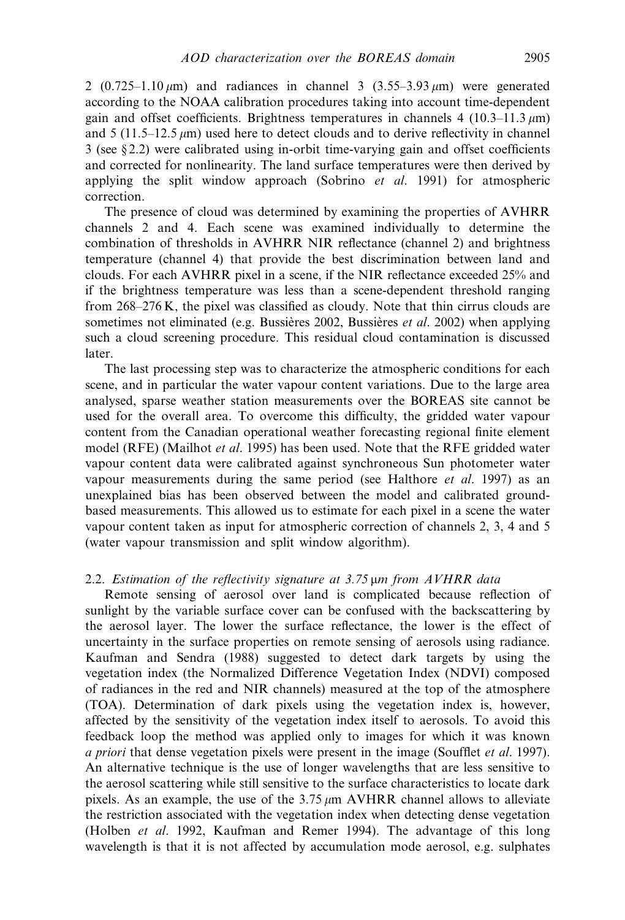2 (0.725–1.10  $\mu$ m) and radiances in channel 3 (3.55–3.93  $\mu$ m) were generated according to the NOAA calibration procedures taking into account time-dependent gain and offset coefficients. Brightness temperatures in channels 4 (10.3–11.3  $\mu$ m) and  $5$  (11.5–12.5  $\mu$ m) used here to detect clouds and to derive reflectivity in channel 3 (see § 2.2) were calibrated using in-orbit time-varying gain and offset coefficients and corrected for nonlinearity. The land surface temperatures were then derived by applying the split window approach (Sobrino  $et$  al. 1991) for atmospheric correction.

The presence of cloud was determined by examining the properties of AVHRR channels 2 and 4. Each scene was examined individually to determine the combination of thresholds in AVHRR NIR reflectance (channel 2) and brightness temperature (channel 4) that provide the best discrimination between land and clouds. For each AVHRR pixel in a scene, if the NIR reflectance exceeded 25% and if the brightness temperature was less than a scene-dependent threshold ranging from 268–276 K, the pixel was classified as cloudy. Note that thin cirrus clouds are sometimes not eliminated (e.g. Bussières 2002, Bussières et al. 2002) when applying such a cloud screening procedure. This residual cloud contamination is discussed later.

The last processing step was to characterize the atmospheric conditions for each scene, and in particular the water vapour content variations. Due to the large area analysed, sparse weather station measurements over the BOREAS site cannot be used for the overall area. To overcome this difficulty, the gridded water vapour content from the Canadian operational weather forecasting regional finite element model (RFE) (Mailhot et al. 1995) has been used. Note that the RFE gridded water vapour content data were calibrated against synchroneous Sun photometer water vapour measurements during the same period (see Halthore *et al.* 1997) as an unexplained bias has been observed between the model and calibrated groundbased measurements. This allowed us to estimate for each pixel in a scene the water vapour content taken as input for atmospheric correction of channels 2, 3, 4 and 5 (water vapour transmission and split window algorithm).

#### 2.2. Estimation of the reflectivity signature at 3.75 µm from AVHRR data

Remote sensing of aerosol over land is complicated because reflection of sunlight by the variable surface cover can be confused with the backscattering by the aerosol layer. The lower the surface reflectance, the lower is the effect of uncertainty in the surface properties on remote sensing of aerosols using radiance. Kaufman and Sendra (1988) suggested to detect dark targets by using the vegetation index (the Normalized Difference Vegetation Index (NDVI) composed of radiances in the red and NIR channels) measured at the top of the atmosphere (TOA). Determination of dark pixels using the vegetation index is, however, affected by the sensitivity of the vegetation index itself to aerosols. To avoid this feedback loop the method was applied only to images for which it was known a priori that dense vegetation pixels were present in the image (Soufflet *et al.* 1997). An alternative technique is the use of longer wavelengths that are less sensitive to the aerosol scattering while still sensitive to the surface characteristics to locate dark pixels. As an example, the use of the  $3.75 \mu m$  AVHRR channel allows to alleviate the restriction associated with the vegetation index when detecting dense vegetation (Holben et al. 1992, Kaufman and Remer 1994). The advantage of this long wavelength is that it is not affected by accumulation mode aerosol, e.g. sulphates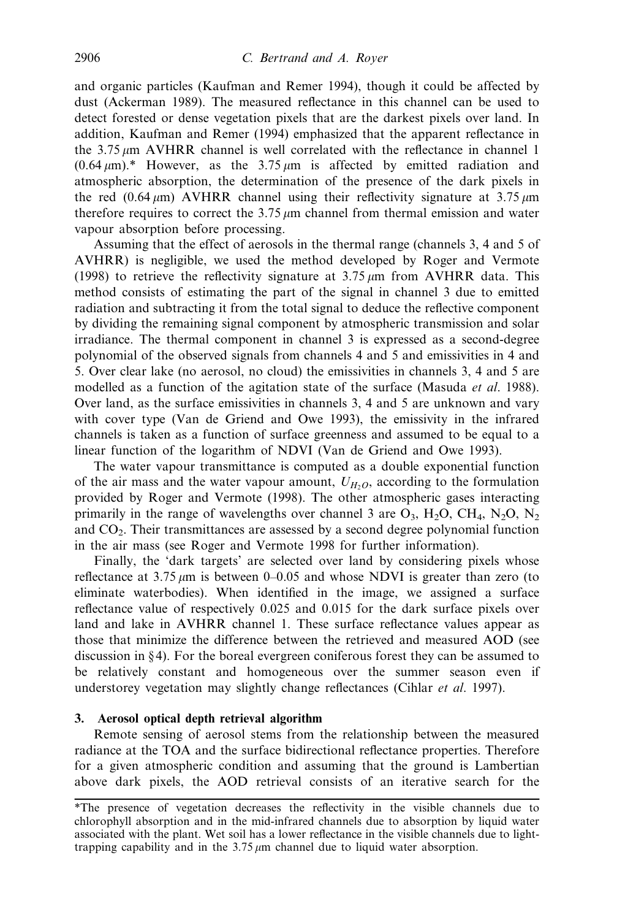and organic particles (Kaufman and Remer 1994), though it could be affected by dust (Ackerman 1989). The measured reflectance in this channel can be used to detect forested or dense vegetation pixels that are the darkest pixels over land. In addition, Kaufman and Remer (1994) emphasized that the apparent reflectance in the  $3.75 \mu m$  AVHRR channel is well correlated with the reflectance in channel 1  $(0.64 \,\mu\text{m})$ .\* However, as the 3.75  $\mu$ m is affected by emitted radiation and atmospheric absorption, the determination of the presence of the dark pixels in the red  $(0.64 \mu m)$  AVHRR channel using their reflectivity signature at 3.75  $\mu$ m therefore requires to correct the  $3.75 \mu m$  channel from thermal emission and water vapour absorption before processing.

Assuming that the effect of aerosols in the thermal range (channels 3, 4 and 5 of AVHRR) is negligible, we used the method developed by Roger and Vermote (1998) to retrieve the reflectivity signature at  $3.75 \mu m$  from AVHRR data. This method consists of estimating the part of the signal in channel 3 due to emitted radiation and subtracting it from the total signal to deduce the reflective component by dividing the remaining signal component by atmospheric transmission and solar irradiance. The thermal component in channel 3 is expressed as a second-degree polynomial of the observed signals from channels 4 and 5 and emissivities in 4 and 5. Over clear lake (no aerosol, no cloud) the emissivities in channels 3, 4 and 5 are modelled as a function of the agitation state of the surface (Masuda *et al.* 1988). Over land, as the surface emissivities in channels 3, 4 and 5 are unknown and vary with cover type (Van de Griend and Owe 1993), the emissivity in the infrared channels is taken as a function of surface greenness and assumed to be equal to a linear function of the logarithm of NDVI (Van de Griend and Owe 1993).

The water vapour transmittance is computed as a double exponential function of the air mass and the water vapour amount,  $U_{H_2O}$ , according to the formulation provided by Roger and Vermote (1998). The other atmospheric gases interacting primarily in the range of wavelengths over channel 3 are  $O_3$ ,  $H_2O$ ,  $CH_4$ ,  $N_2O$ ,  $N_2$ and  $CO<sub>2</sub>$ . Their transmittances are assessed by a second degree polynomial function in the air mass (see Roger and Vermote 1998 for further information).

Finally, the 'dark targets' are selected over land by considering pixels whose reflectance at 3.75  $\mu$ m is between 0–0.05 and whose NDVI is greater than zero (to eliminate waterbodies). When identified in the image, we assigned a surface reflectance value of respectively 0.025 and 0.015 for the dark surface pixels over land and lake in AVHRR channel 1. These surface reflectance values appear as those that minimize the difference between the retrieved and measured AOD (see discussion in § 4). For the boreal evergreen coniferous forest they can be assumed to be relatively constant and homogeneous over the summer season even if understorey vegetation may slightly change reflectances (Cihlar et al. 1997).

## 3. Aerosol optical depth retrieval algorithm

Remote sensing of aerosol stems from the relationship between the measured radiance at the TOA and the surface bidirectional reflectance properties. Therefore for a given atmospheric condition and assuming that the ground is Lambertian above dark pixels, the AOD retrieval consists of an iterative search for the

<sup>\*</sup>The presence of vegetation decreases the reflectivity in the visible channels due to chlorophyll absorption and in the mid-infrared channels due to absorption by liquid water associated with the plant. Wet soil has a lower reflectance in the visible channels due to lighttrapping capability and in the  $3.75 \mu m$  channel due to liquid water absorption.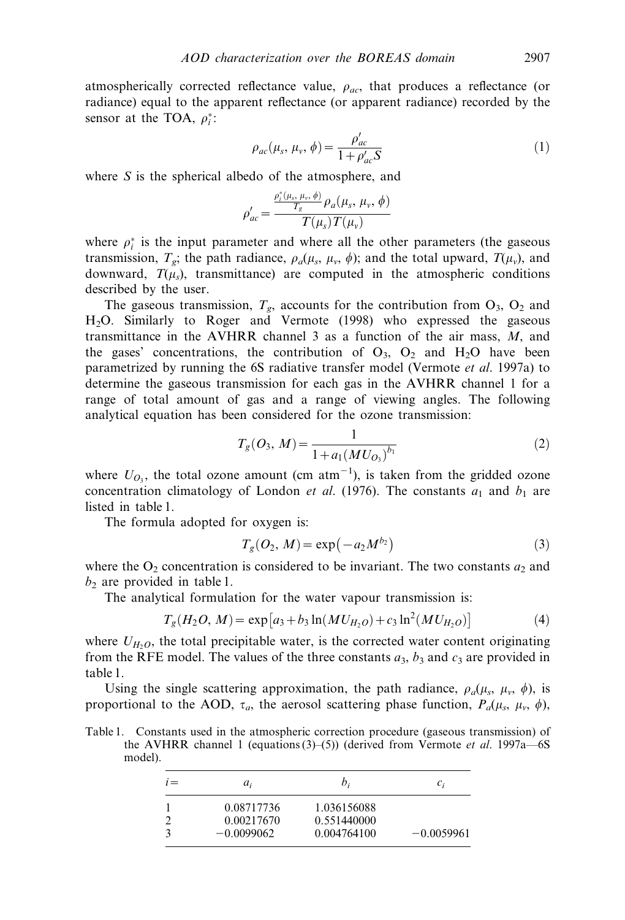atmospherically corrected reflectance value,  $\rho_{ac}$ , that produces a reflectance (or radiance) equal to the apparent reflectance (or apparent radiance) recorded by the sensor at the TOA,  $\rho_i^*$ :

$$
\rho_{ac}(\mu_s, \mu_v, \phi) = \frac{\rho'_{ac}}{1 + \rho'_{ac} S} \tag{1}
$$

where S is the spherical albedo of the atmosphere, and

$$
\rho'_{ac} = \frac{\frac{\rho_i^*(\mu_s, \mu_v, \phi)}{T_g} \rho_a(\mu_s, \mu_v, \phi)}{T(\mu_s) T(\mu_v)}
$$

where  $\rho_i^*$  is the input parameter and where all the other parameters (the gaseous transmission,  $T_g$ ; the path radiance,  $\rho_a(\mu_s, \mu_v, \phi)$ ; and the total upward,  $T(\mu_v)$ , and downward,  $T(\mu_s)$ , transmittance) are computed in the atmospheric conditions described by the user.

The gaseous transmission,  $T_g$ , accounts for the contribution from  $O_3$ ,  $O_2$  and H2O. Similarly to Roger and Vermote (1998) who expressed the gaseous transmittance in the AVHRR channel 3 as a function of the air mass, M, and the gases' concentrations, the contribution of  $O_3$ ,  $O_2$  and  $H_2O$  have been parametrized by running the 6S radiative transfer model (Vermote et al. 1997a) to determine the gaseous transmission for each gas in the AVHRR channel 1 for a range of total amount of gas and a range of viewing angles. The following analytical equation has been considered for the ozone transmission:

$$
T_g(O_3, M) = \frac{1}{1 + a_1(MU_{O_3})^{b_1}}
$$
\n(2)

where  $U_{O_3}$ , the total ozone amount (cm atm<sup>-1</sup>), is taken from the gridded ozone concentration climatology of London et al. (1976). The constants  $a_1$  and  $b_1$  are listed in table 1.

The formula adopted for oxygen is:

$$
T_g(O_2, M) = \exp(-a_2 M^{b_2})
$$
\n(3)

where the  $O_2$  concentration is considered to be invariant. The two constants  $a_2$  and  $b<sub>2</sub>$  are provided in table 1.

The analytical formulation for the water vapour transmission is:

$$
T_g(H_2O, M) = \exp\left[a_3 + b_3 \ln(MU_{H_2O}) + c_3 \ln^2(MU_{H_2O})\right]
$$
 (4)

where  $U_{H_2O}$ , the total precipitable water, is the corrected water content originating from the RFE model. The values of the three constants  $a_3$ ,  $b_3$  and  $c_3$  are provided in table 1.

Using the single scattering approximation, the path radiance,  $\rho_a(\mu_s, \mu_v, \phi)$ , is proportional to the AOD,  $\tau_a$ , the aerosol scattering phase function,  $P_a(\mu_s, \mu_v, \phi)$ ,

Table 1. Constants used in the atmospheric correction procedure (gaseous transmission) of the AVHRR channel 1 (equations  $(3)$ – $(5)$ ) (derived from Vermote *et al.* 1997a–6S model).

| $1 =$ | $a_i$        | b;          | $c_i$        |
|-------|--------------|-------------|--------------|
|       | 0.08717736   | 1.036156088 |              |
|       | 0.00217670   | 0.551440000 |              |
|       | $-0.0099062$ | 0.004764100 | $-0.0059961$ |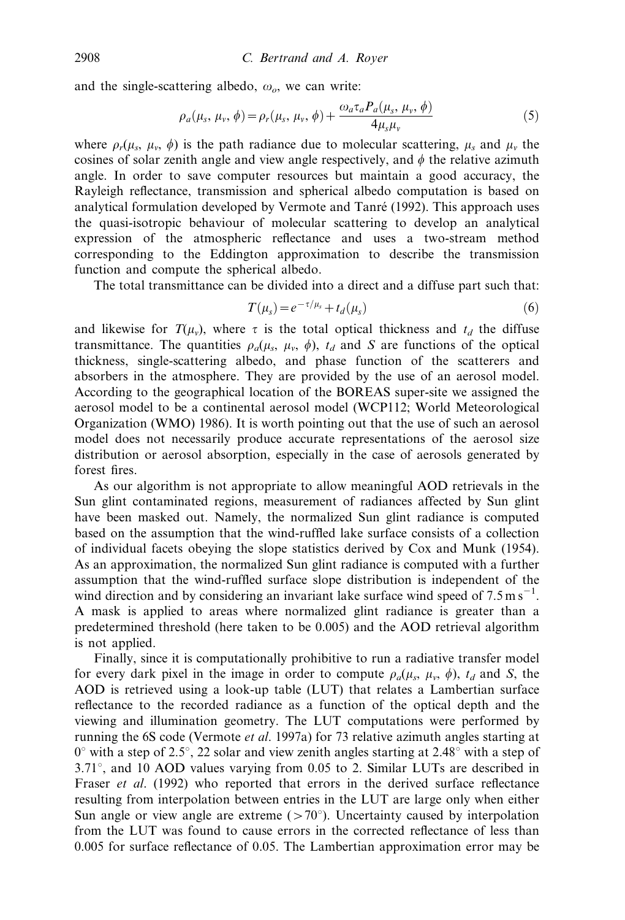and the single-scattering albedo,  $\omega_o$ , we can write:

$$
\rho_a(\mu_s, \mu_v, \phi) = \rho_r(\mu_s, \mu_v, \phi) + \frac{\omega_a \tau_a P_a(\mu_s, \mu_v, \phi)}{4\mu_s \mu_v}
$$
(5)

where  $\rho_r(\mu_s, \mu_v, \phi)$  is the path radiance due to molecular scattering,  $\mu_s$  and  $\mu_v$  the cosines of solar zenith angle and view angle respectively, and  $\phi$  the relative azimuth angle. In order to save computer resources but maintain a good accuracy, the Rayleigh reflectance, transmission and spherical albedo computation is based on analytical formulation developed by Vermote and Tanré (1992). This approach uses the quasi-isotropic behaviour of molecular scattering to develop an analytical expression of the atmospheric reflectance and uses a two-stream method corresponding to the Eddington approximation to describe the transmission function and compute the spherical albedo.

The total transmittance can be divided into a direct and a diffuse part such that:

$$
T(\mu_s) = e^{-\tau/\mu_s} + t_d(\mu_s)
$$
 (6)

and likewise for  $T(\mu_v)$ , where  $\tau$  is the total optical thickness and  $t_d$  the diffuse transmittance. The quantities  $\rho_a(\mu_s, \mu_v, \phi)$ ,  $t_d$  and S are functions of the optical thickness, single-scattering albedo, and phase function of the scatterers and absorbers in the atmosphere. They are provided by the use of an aerosol model. According to the geographical location of the BOREAS super-site we assigned the aerosol model to be a continental aerosol model (WCP112; World Meteorological Organization (WMO) 1986). It is worth pointing out that the use of such an aerosol model does not necessarily produce accurate representations of the aerosol size distribution or aerosol absorption, especially in the case of aerosols generated by forest fires.

As our algorithm is not appropriate to allow meaningful AOD retrievals in the Sun glint contaminated regions, measurement of radiances affected by Sun glint have been masked out. Namely, the normalized Sun glint radiance is computed based on the assumption that the wind-ruffled lake surface consists of a collection of individual facets obeying the slope statistics derived by Cox and Munk (1954). As an approximation, the normalized Sun glint radiance is computed with a further assumption that the wind-ruffled surface slope distribution is independent of the wind direction and by considering an invariant lake surface wind speed of  $7.5 \text{ m s}^{-1}$ . A mask is applied to areas where normalized glint radiance is greater than a predetermined threshold (here taken to be 0.005) and the AOD retrieval algorithm is not applied.

Finally, since it is computationally prohibitive to run a radiative transfer model for every dark pixel in the image in order to compute  $\rho_a(\mu_s, \mu_v, \phi)$ ,  $t_d$  and S, the AOD is retrieved using a look-up table (LUT) that relates a Lambertian surface reflectance to the recorded radiance as a function of the optical depth and the viewing and illumination geometry. The LUT computations were performed by running the 6S code (Vermote *et al.* 1997a) for 73 relative azimuth angles starting at  $0^{\circ}$  with a step of 2.5 $^{\circ}$ , 22 solar and view zenith angles starting at 2.48 $^{\circ}$  with a step of  $3.71^\circ$ , and 10 AOD values varying from 0.05 to 2. Similar LUTs are described in Fraser *et al.* (1992) who reported that errors in the derived surface reflectance resulting from interpolation between entries in the LUT are large only when either Sun angle or view angle are extreme  $($ >70 $\degree$ ). Uncertainty caused by interpolation from the LUT was found to cause errors in the corrected reflectance of less than 0.005 for surface reflectance of 0.05. The Lambertian approximation error may be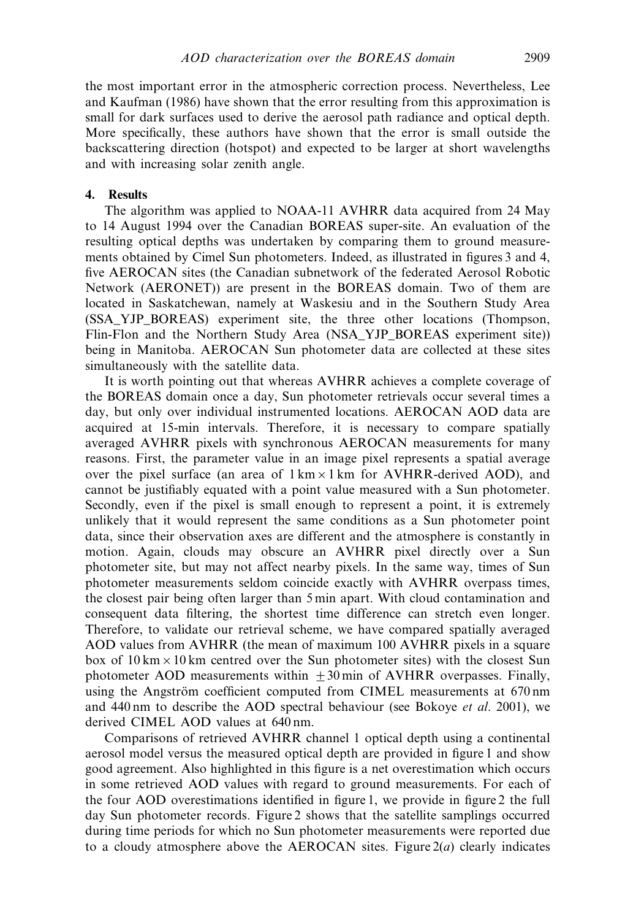the most important error in the atmospheric correction process. Nevertheless, Lee and Kaufman (1986) have shown that the error resulting from this approximation is small for dark surfaces used to derive the aerosol path radiance and optical depth. More specifically, these authors have shown that the error is small outside the backscattering direction (hotspot) and expected to be larger at short wavelengths and with increasing solar zenith angle.

### 4. Results

The algorithm was applied to NOAA-11 AVHRR data acquired from 24 May to 14 August 1994 over the Canadian BOREAS super-site. An evaluation of the resulting optical depths was undertaken by comparing them to ground measurements obtained by Cimel Sun photometers. Indeed, as illustrated in figures 3 and 4, five AEROCAN sites (the Canadian subnetwork of the federated Aerosol Robotic Network (AERONET)) are present in the BOREAS domain. Two of them are located in Saskatchewan, namely at Waskesiu and in the Southern Study Area (SSA\_YJP\_BOREAS) experiment site, the three other locations (Thompson, Flin-Flon and the Northern Study Area (NSA\_YJP\_BOREAS experiment site)) being in Manitoba. AEROCAN Sun photometer data are collected at these sites simultaneously with the satellite data.

It is worth pointing out that whereas AVHRR achieves a complete coverage of the BOREAS domain once a day, Sun photometer retrievals occur several times a day, but only over individual instrumented locations. AEROCAN AOD data are acquired at 15-min intervals. Therefore, it is necessary to compare spatially averaged AVHRR pixels with synchronous AEROCAN measurements for many reasons. First, the parameter value in an image pixel represents a spatial average over the pixel surface (an area of  $1 \text{ km} \times 1 \text{ km}$  for AVHRR-derived AOD), and cannot be justifiably equated with a point value measured with a Sun photometer. Secondly, even if the pixel is small enough to represent a point, it is extremely unlikely that it would represent the same conditions as a Sun photometer point data, since their observation axes are different and the atmosphere is constantly in motion. Again, clouds may obscure an AVHRR pixel directly over a Sun photometer site, but may not affect nearby pixels. In the same way, times of Sun photometer measurements seldom coincide exactly with AVHRR overpass times, the closest pair being often larger than 5 min apart. With cloud contamination and consequent data filtering, the shortest time difference can stretch even longer. Therefore, to validate our retrieval scheme, we have compared spatially averaged AOD values from AVHRR (the mean of maximum 100 AVHRR pixels in a square box of  $10 \text{ km} \times 10 \text{ km}$  centred over the Sun photometer sites) with the closest Sun photometer AOD measurements within  $+30$  min of AVHRR overpasses. Finally, using the Angström coefficient computed from CIMEL measurements at 670 nm and 440 nm to describe the AOD spectral behaviour (see Bokoye et al. 2001), we derived CIMEL AOD values at 640 nm.

Comparisons of retrieved AVHRR channel 1 optical depth using a continental aerosol model versus the measured optical depth are provided in figure 1 and show good agreement. Also highlighted in this figure is a net overestimation which occurs in some retrieved AOD values with regard to ground measurements. For each of the four AOD overestimations identified in figure 1, we provide in figure 2 the full day Sun photometer records. Figure 2 shows that the satellite samplings occurred during time periods for which no Sun photometer measurements were reported due to a cloudy atmosphere above the AEROCAN sites. Figure  $2(a)$  clearly indicates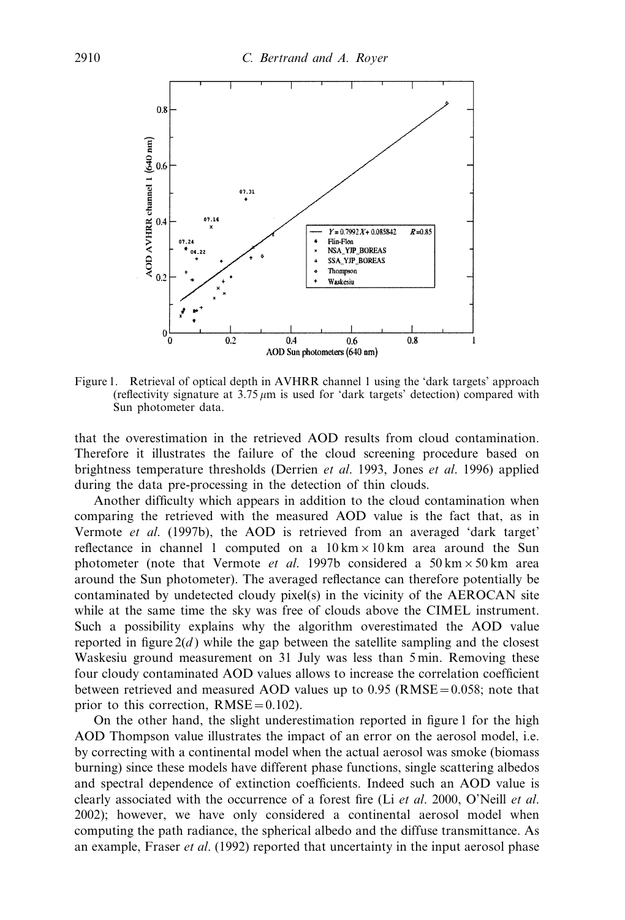

Figure 1. Retrieval of optical depth in AVHRR channel 1 using the 'dark targets' approach (reflectivity signature at  $3.75 \mu m$  is used for 'dark targets' detection) compared with Sun photometer data.

that the overestimation in the retrieved AOD results from cloud contamination. Therefore it illustrates the failure of the cloud screening procedure based on brightness temperature thresholds (Derrien et al. 1993, Jones et al. 1996) applied during the data pre-processing in the detection of thin clouds.

Another difficulty which appears in addition to the cloud contamination when comparing the retrieved with the measured AOD value is the fact that, as in Vermote et al. (1997b), the AOD is retrieved from an averaged 'dark target' reflectance in channel 1 computed on a  $10 \text{ km} \times 10 \text{ km}$  area around the Sun photometer (note that Vermote *et al.* 1997b considered a 50 km  $\times$  50 km area around the Sun photometer). The averaged reflectance can therefore potentially be contaminated by undetected cloudy pixel(s) in the vicinity of the AEROCAN site while at the same time the sky was free of clouds above the CIMEL instrument. Such a possibility explains why the algorithm overestimated the AOD value reported in figure  $2(d)$  while the gap between the satellite sampling and the closest Waskesiu ground measurement on 31 July was less than 5 min. Removing these four cloudy contaminated AOD values allows to increase the correlation coefficient between retrieved and measured AOD values up to  $0.95$  (RMSE =  $0.058$ ; note that prior to this correction,  $RMSE = 0.102$ .

On the other hand, the slight underestimation reported in figure 1 for the high AOD Thompson value illustrates the impact of an error on the aerosol model, i.e. by correcting with a continental model when the actual aerosol was smoke (biomass burning) since these models have different phase functions, single scattering albedos and spectral dependence of extinction coefficients. Indeed such an AOD value is clearly associated with the occurrence of a forest fire (Li  $et$  al. 2000, O'Neill  $et$  al. 2002); however, we have only considered a continental aerosol model when computing the path radiance, the spherical albedo and the diffuse transmittance. As an example, Fraser *et al.* (1992) reported that uncertainty in the input aerosol phase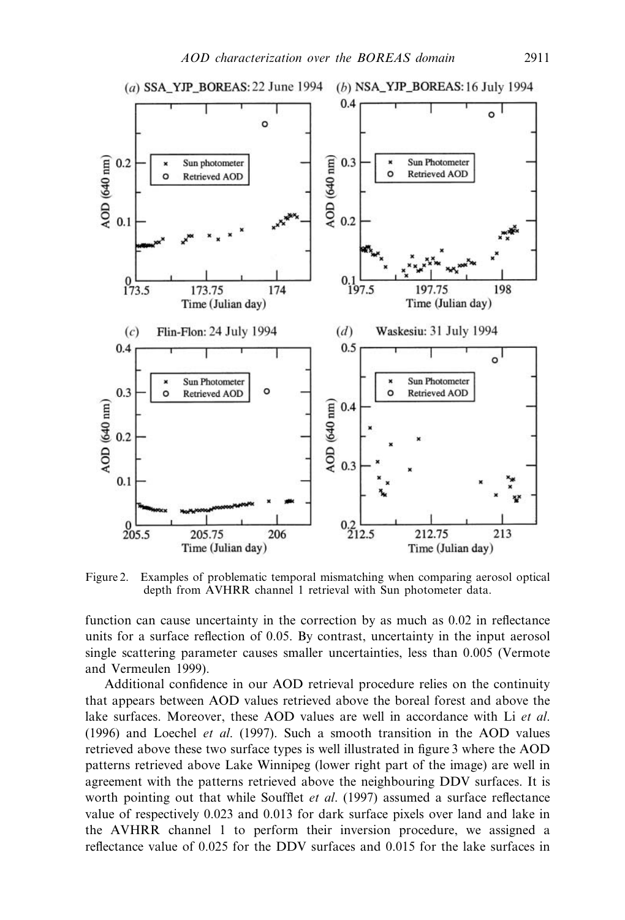

Figure 2. Examples of problematic temporal mismatching when comparing aerosol optical depth from AVHRR channel 1 retrieval with Sun photometer data.

function can cause uncertainty in the correction by as much as 0.02 in reflectance units for a surface reflection of 0.05. By contrast, uncertainty in the input aerosol single scattering parameter causes smaller uncertainties, less than 0.005 (Vermote and Vermeulen 1999).

Additional confidence in our AOD retrieval procedure relies on the continuity that appears between AOD values retrieved above the boreal forest and above the lake surfaces. Moreover, these AOD values are well in accordance with Li et al. (1996) and Loechel *et al.* (1997). Such a smooth transition in the AOD values retrieved above these two surface types is well illustrated in figure 3 where the AOD patterns retrieved above Lake Winnipeg (lower right part of the image) are well in agreement with the patterns retrieved above the neighbouring DDV surfaces. It is worth pointing out that while Soufflet *et al.* (1997) assumed a surface reflectance value of respectively 0.023 and 0.013 for dark surface pixels over land and lake in the AVHRR channel 1 to perform their inversion procedure, we assigned a reflectance value of 0.025 for the DDV surfaces and 0.015 for the lake surfaces in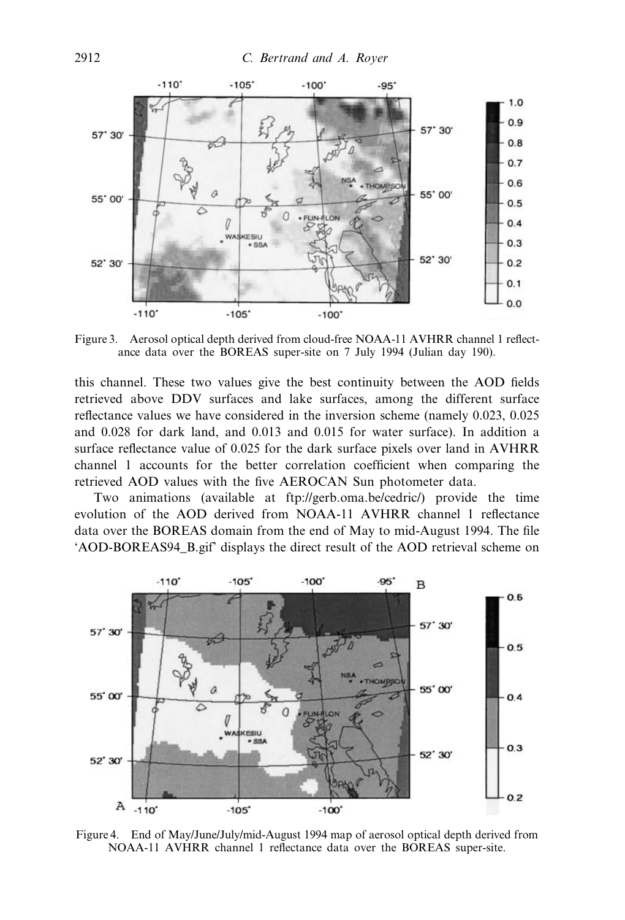

Figure 3. Aerosol optical depth derived from cloud-free NOAA-11 AVHRR channel 1 reflectance data over the BOREAS super-site on 7 July 1994 (Julian day 190).

this channel. These two values give the best continuity between the AOD fields retrieved above DDV surfaces and lake surfaces, among the different surface reflectance values we have considered in the inversion scheme (namely 0.023, 0.025 and 0.028 for dark land, and 0.013 and 0.015 for water surface). In addition a surface reflectance value of 0.025 for the dark surface pixels over land in AVHRR channel 1 accounts for the better correlation coefficient when comparing the retrieved AOD values with the five AEROCAN Sun photometer data.

Two animations (available at ftp://gerb.oma.be/cedric/) provide the time evolution of the AOD derived from NOAA-11 AVHRR channel 1 reflectance data over the BOREAS domain from the end of May to mid-August 1994. The file 'AOD-BOREAS94\_B.gif' displays the direct result of the AOD retrieval scheme on



Figure 4. End of May/June/July/mid-August 1994 map of aerosol optical depth derived from NOAA-11 AVHRR channel 1 reflectance data over the BOREAS super-site.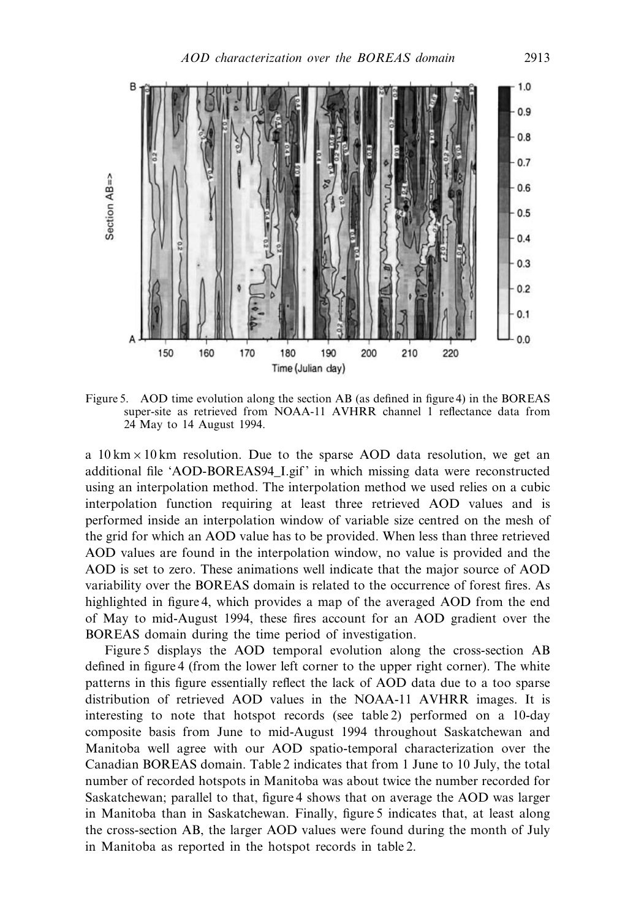

Figure 5. AOD time evolution along the section AB (as defined in figure 4) in the BOREAS super-site as retrieved from NOAA-11 AVHRR channel 1 reflectance data from 24 May to 14 August 1994.

a  $10 \text{ km} \times 10 \text{ km}$  resolution. Due to the sparse AOD data resolution, we get an additional file 'AOD-BOREAS94\_I.gif' in which missing data were reconstructed using an interpolation method. The interpolation method we used relies on a cubic interpolation function requiring at least three retrieved AOD values and is performed inside an interpolation window of variable size centred on the mesh of the grid for which an AOD value has to be provided. When less than three retrieved AOD values are found in the interpolation window, no value is provided and the AOD is set to zero. These animations well indicate that the major source of AOD variability over the BOREAS domain is related to the occurrence of forest fires. As highlighted in figure 4, which provides a map of the averaged AOD from the end of May to mid-August 1994, these fires account for an AOD gradient over the BOREAS domain during the time period of investigation.

Figure 5 displays the AOD temporal evolution along the cross-section AB defined in figure 4 (from the lower left corner to the upper right corner). The white patterns in this figure essentially reflect the lack of AOD data due to a too sparse distribution of retrieved AOD values in the NOAA-11 AVHRR images. It is interesting to note that hotspot records (see table 2) performed on a 10-day composite basis from June to mid-August 1994 throughout Saskatchewan and Manitoba well agree with our AOD spatio-temporal characterization over the Canadian BOREAS domain. Table 2 indicates that from 1 June to 10 July, the total number of recorded hotspots in Manitoba was about twice the number recorded for Saskatchewan; parallel to that, figure 4 shows that on average the AOD was larger in Manitoba than in Saskatchewan. Finally, figure 5 indicates that, at least along the cross-section AB, the larger AOD values were found during the month of July in Manitoba as reported in the hotspot records in table 2.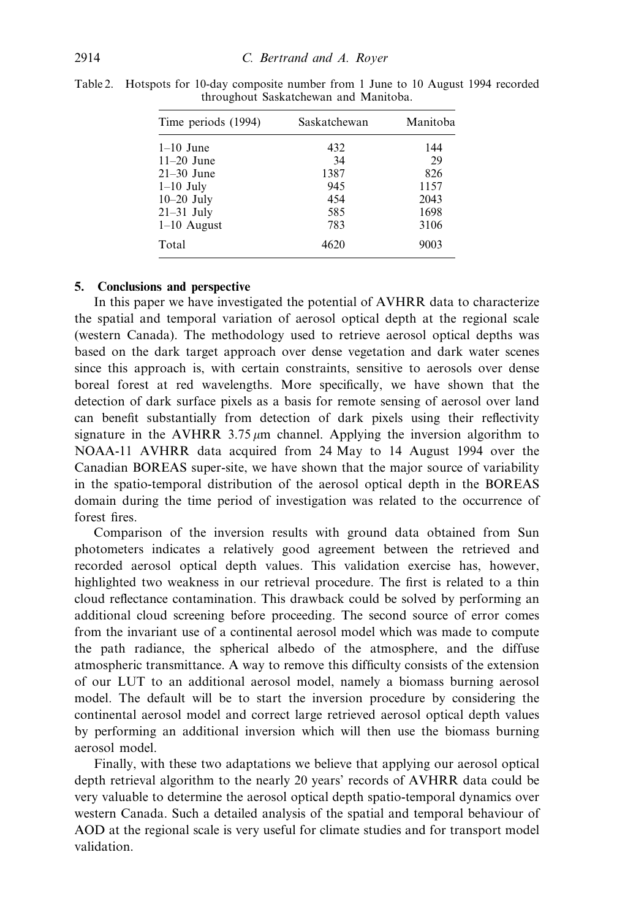| Time periods (1994) | Saskatchewan | Manitoba |
|---------------------|--------------|----------|
| $1-10$ June         | 432          | 144      |
| $11-20$ June        | 34           | 29       |
| $21-30$ June        | 1387         | 826      |
| $1-10$ July         | 945          | 1157     |
| $10-20$ July        | 454          | 2043     |
| $21-31$ July        | 585          | 1698     |
| $1-10$ August       | 783          | 3106     |
| Total               | 4620         | 9003     |

Table 2. Hotspots for 10-day composite number from 1 June to 10 August 1994 recorded throughout Saskatchewan and Manitoba.

# 5. Conclusions and perspective

In this paper we have investigated the potential of AVHRR data to characterize the spatial and temporal variation of aerosol optical depth at the regional scale (western Canada). The methodology used to retrieve aerosol optical depths was based on the dark target approach over dense vegetation and dark water scenes since this approach is, with certain constraints, sensitive to aerosols over dense boreal forest at red wavelengths. More specifically, we have shown that the detection of dark surface pixels as a basis for remote sensing of aerosol over land can benefit substantially from detection of dark pixels using their reflectivity signature in the AVHRR 3.75  $\mu$ m channel. Applying the inversion algorithm to NOAA-11 AVHRR data acquired from 24 May to 14 August 1994 over the Canadian BOREAS super-site, we have shown that the major source of variability in the spatio-temporal distribution of the aerosol optical depth in the BOREAS domain during the time period of investigation was related to the occurrence of forest fires.

Comparison of the inversion results with ground data obtained from Sun photometers indicates a relatively good agreement between the retrieved and recorded aerosol optical depth values. This validation exercise has, however, highlighted two weakness in our retrieval procedure. The first is related to a thin cloud reflectance contamination. This drawback could be solved by performing an additional cloud screening before proceeding. The second source of error comes from the invariant use of a continental aerosol model which was made to compute the path radiance, the spherical albedo of the atmosphere, and the diffuse atmospheric transmittance. A way to remove this difficulty consists of the extension of our LUT to an additional aerosol model, namely a biomass burning aerosol model. The default will be to start the inversion procedure by considering the continental aerosol model and correct large retrieved aerosol optical depth values by performing an additional inversion which will then use the biomass burning aerosol model.

Finally, with these two adaptations we believe that applying our aerosol optical depth retrieval algorithm to the nearly 20 years' records of AVHRR data could be very valuable to determine the aerosol optical depth spatio-temporal dynamics over western Canada. Such a detailed analysis of the spatial and temporal behaviour of AOD at the regional scale is very useful for climate studies and for transport model validation.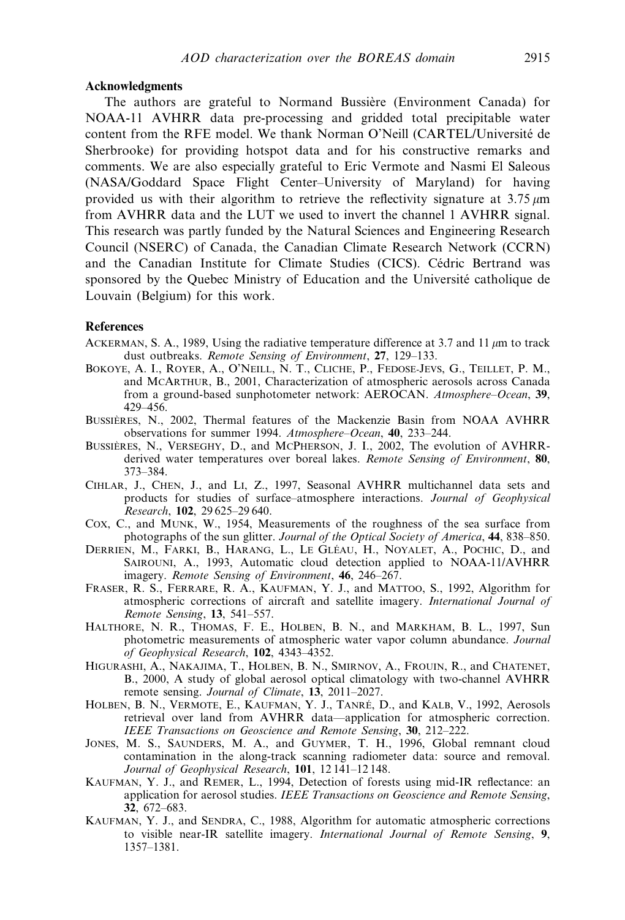### Acknowledgments

The authors are grateful to Normand Bussière (Environment Canada) for NOAA-11 AVHRR data pre-processing and gridded total precipitable water content from the RFE model. We thank Norman O'Neill (CARTEL/Université de Sherbrooke) for providing hotspot data and for his constructive remarks and comments. We are also especially grateful to Eric Vermote and Nasmi El Saleous (NASA/Goddard Space Flight Center–University of Maryland) for having provided us with their algorithm to retrieve the reflectivity signature at  $3.75 \mu m$ from AVHRR data and the LUT we used to invert the channel 1 AVHRR signal. This research was partly funded by the Natural Sciences and Engineering Research Council (NSERC) of Canada, the Canadian Climate Research Network (CCRN) and the Canadian Institute for Climate Studies (CICS). Cédric Bertrand was sponsored by the Quebec Ministry of Education and the Université catholique de Louvain (Belgium) for this work.

## **References**

- ACKERMAN, S. A., 1989, Using the radiative temperature difference at 3.7 and 11  $\mu$ m to track dust outbreaks. Remote Sensing of Environment, 27, 129-133.
- BOKOYE, A. I., ROYER, A., O'NEILL, N. T., CLICHE, P., FEDOSE-JEVS, G., TEILLET, P. M., and MCARTHUR, B., 2001, Characterization of atmospheric aerosols across Canada from a ground-based sunphotometer network: AEROCAN. Atmosphere–Ocean, 39, 429–456.
- BUSSIÈRES, N., 2002. Thermal features of the Mackenzie Basin from NOAA AVHRR observations for summer 1994. Atmosphere–Ocean, 40, 233–244.
- BUSSIERES, N., VERSEGHY, D., and MCPHERSON, J. I., 2002, The evolution of AVHRRderived water temperatures over boreal lakes. Remote Sensing of Environment, 80, 373–384.
- CIHLAR, J., CHEN, J., and LI, Z., 1997, Seasonal AVHRR multichannel data sets and products for studies of surface–atmosphere interactions. Journal of Geophysical Research, 102, 29 625–29 640.
- COX, C., and MUNK, W., 1954, Measurements of the roughness of the sea surface from photographs of the sun glitter. Journal of the Optical Society of America, 44, 838–850.
- DERRIEN, M., FARKI, B., HARANG, L., LE GLÉAU, H., NOYALET, A., POCHIC, D., and SAIROUNI, A., 1993, Automatic cloud detection applied to NOAA-11/AVHRR imagery. Remote Sensing of Environment, 46, 246–267.
- FRASER, R. S., FERRARE, R. A., KAUFMAN, Y. J., and MATTOO, S., 1992, Algorithm for atmospheric corrections of aircraft and satellite imagery. International Journal of Remote Sensing, 13, 541–557.
- HALTHORE, N. R., THOMAS, F. E., HOLBEN, B. N., and MARKHAM, B. L., 1997, Sun photometric measurements of atmospheric water vapor column abundance. Journal of Geophysical Research, 102, 4343–4352.
- HIGURASHI, A., NAKAJIMA, T., HOLBEN, B. N., SMIRNOV, A., FROUIN, R., and CHATENET, B., 2000, A study of global aerosol optical climatology with two-channel AVHRR remote sensing. Journal of Climate, 13, 2011–2027.
- HOLBEN, B. N., VERMOTE, E., KAUFMAN, Y. J., TANRÉ, D., and KALB, V., 1992, Aerosols retrieval over land from AVHRR data—application for atmospheric correction. IEEE Transactions on Geoscience and Remote Sensing, 30, 212–222.
- JONES, M. S., SAUNDERS, M. A., and GUYMER, T. H., 1996, Global remnant cloud contamination in the along-track scanning radiometer data: source and removal. Journal of Geophysical Research, 101, 12 141–12 148.
- KAUFMAN, Y. J., and REMER, L., 1994, Detection of forests using mid-IR reflectance: an application for aerosol studies. IEEE Transactions on Geoscience and Remote Sensing, 32, 672–683.
- KAUFMAN, Y. J., and SENDRA, C., 1988, Algorithm for automatic atmospheric corrections to visible near-IR satellite imagery. International Journal of Remote Sensing, 9, 1357–1381.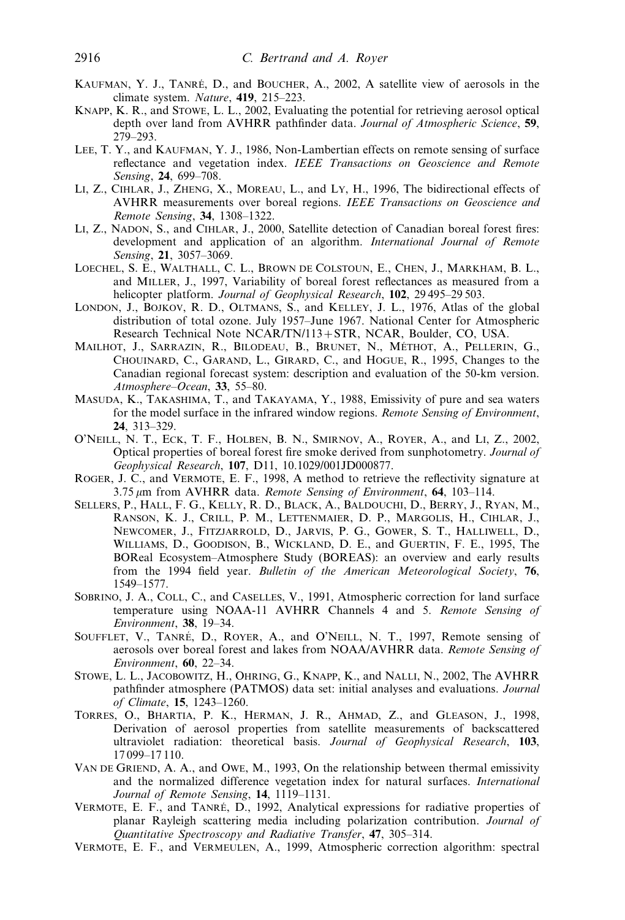- KAUFMAN, Y. J., TANRÉ, D., and BOUCHER, A., 2002, A satellite view of aerosols in the climate system. Nature, 419, 215–223.
- KNAPP, K. R., and STOWE, L. L., 2002, Evaluating the potential for retrieving aerosol optical depth over land from AVHRR pathfinder data. Journal of Atmospheric Science, 59, 279–293.
- LEE, T. Y., and KAUFMAN, Y. J., 1986, Non-Lambertian effects on remote sensing of surface reflectance and vegetation index. IEEE Transactions on Geoscience and Remote Sensing, **24**, 699-708.
- LI, Z., CIHLAR, J., ZHENG, X., MOREAU, L., and LY, H., 1996, The bidirectional effects of AVHRR measurements over boreal regions. IEEE Transactions on Geoscience and Remote Sensing, 34, 1308–1322.
- LI, Z., NADON, S., and CIHLAR, J., 2000, Satellite detection of Canadian boreal forest fires: development and application of an algorithm. International Journal of Remote Sensing, 21, 3057–3069.
- LOECHEL, S. E., WALTHALL, C. L., BROWN DE COLSTOUN, E., CHEN, J., MARKHAM, B. L., and MILLER, J., 1997, Variability of boreal forest reflectances as measured from a helicopter platform. Journal of Geophysical Research, 102, 29495-29503.
- LONDON, J., BOJKOV, R. D., OLTMANS, S., and KELLEY, J. L., 1976, Atlas of the global distribution of total ozone. July 1957–June 1967. National Center for Atmospheric Research Technical Note NCAR/TN/113+STR, NCAR, Boulder, CO, USA.
- MAILHOT, J., SARRAZIN, R., BILODEAU, B., BRUNET, N., MÉTHOT, A., PELLERIN, G., CHOUINARD, C., GARAND, L., GIRARD, C., and HOGUE, R., 1995, Changes to the Canadian regional forecast system: description and evaluation of the 50-km version. Atmosphere–Ocean, 33, 55–80.
- MASUDA, K., TAKASHIMA, T., and TAKAYAMA, Y., 1988, Emissivity of pure and sea waters for the model surface in the infrared window regions. Remote Sensing of Environment, 24, 313–329.
- O'NEILL, N. T., ECK, T. F., HOLBEN, B. N., SMIRNOV, A., ROYER, A., and LI, Z., 2002, Optical properties of boreal forest fire smoke derived from sunphotometry. Journal of Geophysical Research, 107, D11, 10.1029/001JD000877.
- ROGER, J. C., and VERMOTE, E. F., 1998, A method to retrieve the reflectivity signature at  $3.75 \,\mu m$  from AVHRR data. Remote Sensing of Environment, 64, 103-114.
- SELLERS, P., HALL, F. G., KELLY, R. D., BLACK, A., BALDOUCHI, D., BERRY, J., RYAN, M., RANSON, K. J., CRILL, P. M., LETTENMAIER, D. P., MARGOLIS, H., CIHLAR, J., NEWCOMER, J., FITZJARROLD, D., JARVIS, P. G., GOWER, S. T., HALLIWELL, D., WILLIAMS, D., GOODISON, B., WICKLAND, D. E., and GUERTIN, F. E., 1995, The BOReal Ecosystem–Atmosphere Study (BOREAS): an overview and early results from the 1994 field year. Bulletin of the American Meteorological Society, 76, 1549–1577.
- SOBRINO, J. A., COLL, C., and CASELLES, V., 1991, Atmospheric correction for land surface temperature using NOAA-11 AVHRR Channels 4 and 5. Remote Sensing of Environment, 38, 19–34.
- SOUFFLET, V., TANRÉ, D., ROYER, A., and O'NEILL, N. T., 1997, Remote sensing of aerosols over boreal forest and lakes from NOAA/AVHRR data. Remote Sensing of Environment, 60, 22–34.
- STOWE, L. L., JACOBOWITZ, H., OHRING, G., KNAPP, K., and NALLI, N., 2002, The AVHRR pathfinder atmosphere (PATMOS) data set: initial analyses and evaluations. Journal of Climate, 15, 1243–1260.
- TORRES, O., BHARTIA, P. K., HERMAN, J. R., AHMAD, Z., and GLEASON, J., 1998, Derivation of aerosol properties from satellite measurements of backscattered ultraviolet radiation: theoretical basis. Journal of Geophysical Research, 103, 17 099–17 110.
- VAN DE GRIEND, A. A., and OWE, M., 1993, On the relationship between thermal emissivity and the normalized difference vegetation index for natural surfaces. International Journal of Remote Sensing, 14, 1119-1131.
- VERMOTE, E. F., and TANRÉ, D., 1992, Analytical expressions for radiative properties of planar Rayleigh scattering media including polarization contribution. Journal of Quantitative Spectroscopy and Radiative Transfer, 47, 305–314.
- VERMOTE, E. F., and VERMEULEN, A., 1999, Atmospheric correction algorithm: spectral